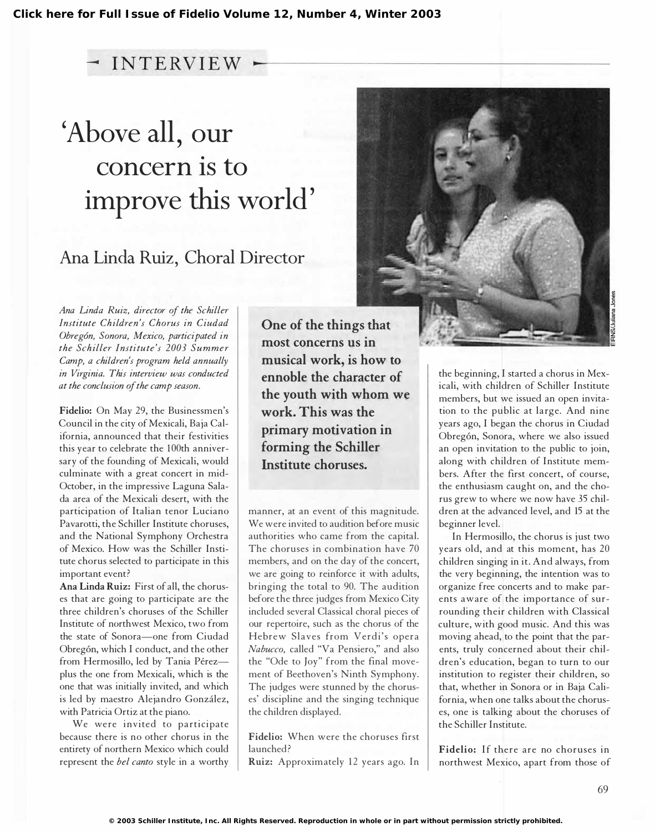## $-$  INTERVIEW  $\cdot$

## 'Above all, our concern is to improve this world'

## Ana Linda Ruiz, Choral Director

Ana Linda Ruiz, director of the Schiller Institute Children's Chorus in Ciudad Obregón, Sonora, Mexico, participated in the Schiller Institute's 2003 Summer Camp, a children's program held annually in Virginia. This interview was conducted at the conclusion of the camp season.

Fidelio: On May 29, the Businessmen's Council in the city of Mexicali, Baja California, announced that their festivities this year to celebrate the 100th anniversary of the founding of Mexicali, would culminate with a great concert in mid-October, in the impressive Laguna Salada area of the Mexicali desert, with the participation of Italian tenor Luciano Pavarotti, the Schiller Institute choruses, and the National Symphony Orchestra of Mexico. How was the Schiller Institute chorus selected to participate in this important event?

Ana Linda Ruiz: First of all, the choruses that are going to participate are the three children's choruses of the Schiller Institute of northwest Mexico, two from the state of Sonora-one from Ciudad Obreg6n, which I conduct, and the other from Hermosillo, led by Tania Pérezplus the one from Mexicali, which is the one that was initially invited, and which is led by maestro Alejandro Gonzalez, with Patricia Ortiz at the piano.

We were invited to participate because there is no other chorus in the entirety of northern Mexico which could represent the *bel canto* style in a worthy

One of the things that most concerns us in musical work, is how to ennoble the character of the youth with whom we work. This was the primary motivation in forming the Schiller Institute choruses.

manner, at an event of this magnitude. We were invited to audition before music authorities who came from the capital. The choruses in combination have 70 members, and on the day of the concert, we are going to reinforce it with adults, bringing the total to 90. The audition before the three judges from Mexico City included several Classical choral pieces of our repertoire, such as the chorus of the Hebrew Slaves from Verdi's opera Nabucco, called "Va Pensiero," and also the "Ode to Joy" from the final movement of Beethoven's Ninth Symphony. The judges were stunned by the choruses' discipline and the singing technique the children displayed.

Fidelio: When were the choruses first launched?

Ruiz: Approximately 12 years ago. In

the beginning, I started a chorus in Mexicali, with children of Schiller Institute members, but we issued an open invitation to the public at large. And nine years ago, I began the chorus in Ciudad Obreg6n, Sonora, where we also issued an open invitation to the public to join, along with children of Institute members. After the first concert, of course, the enthusiasm caught on, and the chorus grew to where we now have 35 children at the advanced level, and 15 at the beginner level.

In Hermosillo, the chorus is just two years old, and at this moment, has 20 children singing in it. And always, from the very beginning, the intention was to organize free concerts and to make parents aware of the importance of surrounding their children with Classical culture, with good music. And this was moving ahead, to the point that the parents, truly concerned about their children's education, began to turn to our institution to register their children, so that, whether in Sonora or in Baja California, when one talks about the choruses, one is talking about the choruses of the Schiller Institute.

Fidelio: If there are no choruses in northwest Mexico, apart from those of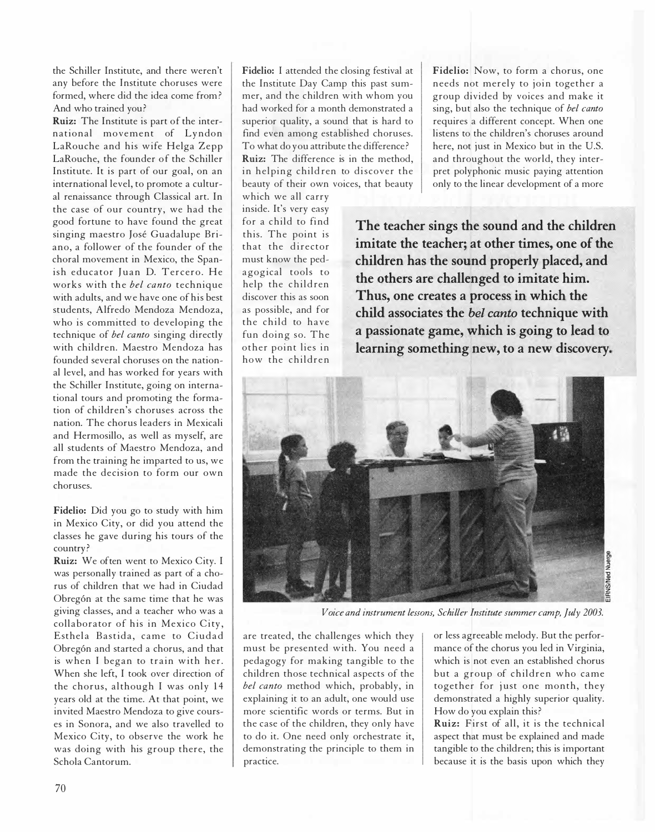the Schiller Institute, and there weren't any before the Institute choruses were formed, where did the idea come from ? And who trained you?

Ruiz: The Institute is part of the international movement of Lyndon LaRouche and his wife Helga Zepp LaRouche, the founder of the Schiller Institute. It is part of our goal, on an international level, to promote a cultural renaissance through Classical art. In the case of our country, we had the good fortune to have found the great singing maestro Jose Guadalupe Briano, a follower of the founder of the choral movement in Mexico, the Spanish educator Juan D. Tercero. He works with the *bel canto* technique with adults, and we have one of his best students, Alfredo Mendoza Mendoza, who is committed to developing the technique of bel canto singing directly with children. Maestro Mendoza has founded several choruses on the national level, and has worked for years with the Schiller Institute, going on international tours and promoting the formation of children's choruses across the nation. The chorus leaders in Mexicali and Hermosillo, as well as myself, are all students of Maestro Mendoza, and from the training he imparted to us, we made the decision to form our own choruses.

Fidelio: Did you go to study with him in Mexico City, or did you attend the classes he gave during his tours of the country?

Ruiz: We often went to Mexico City. I was personally trained as part of a chorus of children that we had in Ciudad Obregón at the same time that he was giving classes, and a teacher who was a collaborator of his in Mexico City, Esthela Bastida, came to Ciudad Obregón and started a chorus, and that is when J began to train with her. When she left, I took over direction of the chorus, although I was only 14 years old at the time. At that point, we invited Maestro Mendoza to give courses in Sonora, and we also travelled to Mexico City, to observe the work he was doing with his group there, the Schola Cantorum.

Fidelio: I attended the closing festival at the Institute Day Camp this past summer, and the children with whom you had worked for a month demonstrated a superior quality, a sound that is hard to find even among established choruses. To what do you attribute the difference ? Ruiz: The difference is in the method, in helping children to discover the beauty of their own voices, that beauty

which we all carry inside. It's very easy for a child to find this. The point is that the dir ector must know the pedagogical tools to help the children discover this as soon as possible, and for the child to have fun doing so. The other point lies in how the children

Fidelio: Now, to form a chorus, one needs not merely to join together a group divided by voices and make it sing, but also the technique of bel canto requires a different concept. When one listens to the children's choruses around here, not just in Mexico but in the U.S. and throughout the world, they interpret polyphonic music paying attention only to the linear development of a more

The teacher sings the sound and the children imitate the teacher; at other times, one of the children has the sound properly placed, and the others are challenged to imitate him. Thus, one creates a process in which the child associates the bel canto technique with a passionate game, which is going to lead to learning something new, to a new discovery.



Voice and instrument lessons, Schiller Imtitute summer camp, July 2003.

are treated, the challenges which they must be presented with. You need a pedagogy for making tangible to the children those technical aspects of the bel canto method which, probably, in explaining it to an adult, one would use more scientific words or terms. But in the case of the children, they only have to do it. One need only orchestrate it, demonstrating the principle to them in practice.

or less agreeable melody. But the performance of the chorus you led in Virginia, which is not even an established chorus but a group of children who came together for just one month, they demonstrated a highly superior quality. How do you explain this?

Ruiz: First of all, it is the technical aspect that must be explained and made tangible to the children; this is important because it is the basis upon which they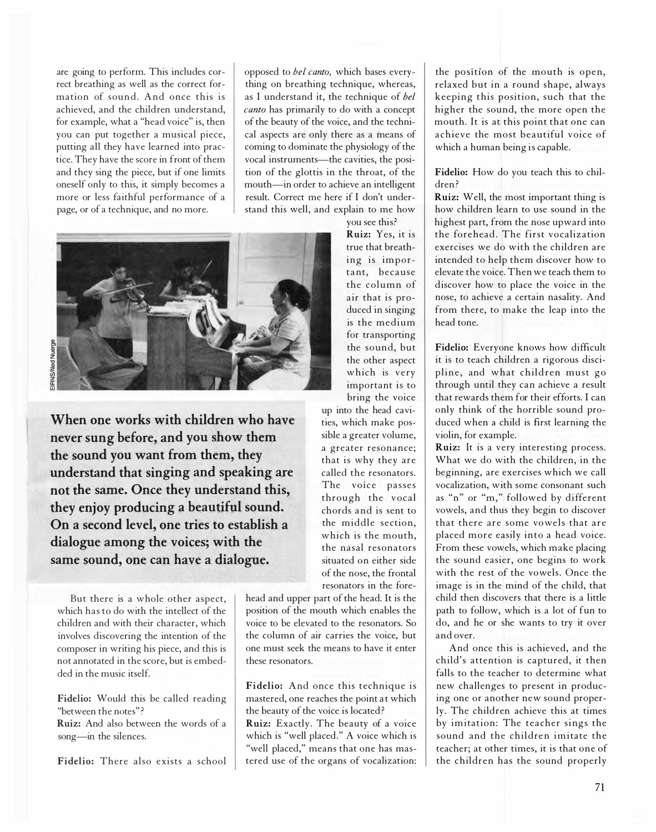are going to perform. This includes correct breathing as well as the correct formation of sound. And once this is achieved, and the children understand, for example, what a "head voice" is, then you can put together a musical piece, putting all they have learned into practice. They have the score in front of them and they sing the piece, but if one limits oneself only to this, it simply becomes a more or less faithful performance of a page, or of a technique, and no more.

opposed to *bel canto*, which bases everything on breathing technique, whereas, as I understand it, the technique of bel canto has primarily to do with a concept of the beauty of the voice, and the technical aspects are only there as a means of coming to dominate the physiology of the vocal instruments-the cavities, the position of the glottis in the throat, of the mouth-in order to achieve an intelligent result. Correct me here if I don't understand this well, and explain to me how

you see this?



When one works with children who have never sung before, and you show them the sound you want from them, they understand that singing and speaking are not the same. Once they understand this, they enjoy producing a beautiful sound. On a second level, one tries to establish a dialogue among the voices; with the same sound, one can have a dialogue.

But there is a whole other aspect, which has to do with the intellect of the children and with their character, which involves discovering the intention of the composer in writing his piece, and this is not annotated in the score, but is embedded in the music itself.

Fidelio: Would this be called reading "between the notes"?

Ruiz: And also between the words of a song-in the silences.

Fidelio: There also exists a school

Ruiz: Yes, it is true that breath ing is important, because the column of air that is produced in singing is the medium for transporting the sound, but the other aspect which is very important is to bring the voice

up into the head cavities, which make possible a greater volume, a greater resonance; that is why they are called the resonators. The voice passes through the vocal chords and is sent to the middle section, which is the mouth, the nasal resonators situated on either side of the nose, the frontal resonators in the fore-

head and upper part of the head. It is the position of the mouth which enables the voice to be elevated to the resonators. So the column of air carries the voice, but one must seek the means to have it enter these resonators.

Fidelio: And once this technique is mastered, one reaches the point at which the beauty of the voice is located? Ruiz: Exactly. The beauty of a voice which is "well placed." A voice which is "well placed," means that one has mastered use of the organs of vocalization: the position of the mouth is open, relaxed but in a round shape, always keeping this position, such that the higher the sound, the more open the mouth. It is at this point that one can achieve the most beautiful voice of which a human being is capable.

Fidelio: How do you teach this to children ?

Ruiz: Well, the most important thing is how children learn to use sound in the highest part, from the nose upward into the forehead. The first vocalization exercises we do with the children are intended to help them discover how to elevate the voice. Then we teach them to discover how to place the voice in the nose, to achieve a certain nasality. And from there, to make the leap into the head tone.

Fidelio: Everyone knows how difficult it is to teach children a rigorous discipline, and what children must go through until they can achieve a result that rewards them for their efforts. I can only think of the horrible sound produced when a child is first learning the violin, for example.

Ruiz: It is a very interesting process. What we do with the children, in the beginning, are exercises which we call vocalization, with some consonant such as "n" or "m," followed by different vowels, and thus they begin to discover that there are some vowels that are placed more easily into a head voice. From these vowels, which make placing the sound easier, one begins to work with the rest of the vowels. Once the image is in the mind of the child, that child then discovers that there is a little path to follow, which is a lot of fun to do, and he or she wants to try it over and over.

And once this is achieved, and the child's attention is captured, it then falls to the teacher to determine what new challenges to present in producing one or another new sound properly. The children achieve this at times by imitation: The teacher sings the sound and the children imitate the teacher; at other times, it is that one of the children has the sound properly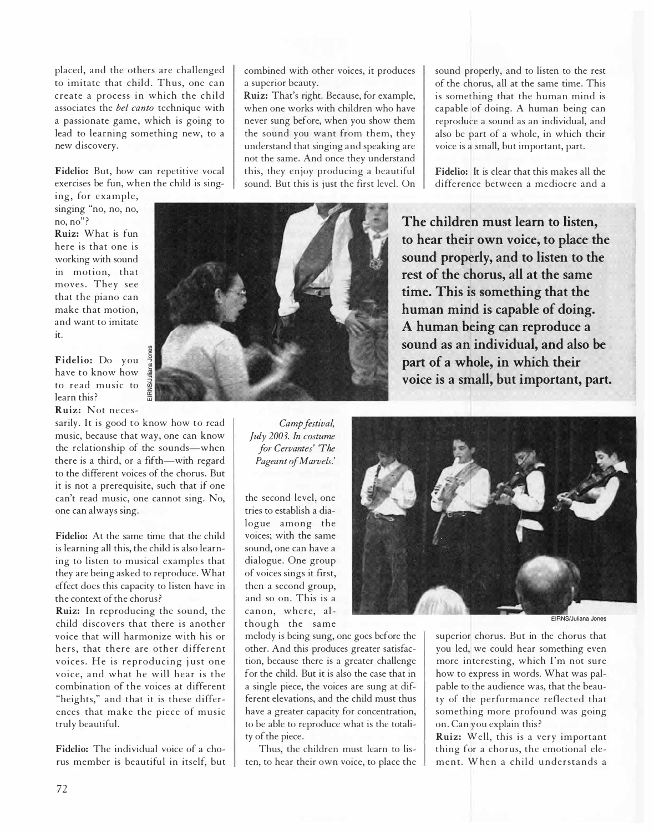placed, and the others are challenged to imitate that child. Thus, one can create a process in which the child associates the *bel canto* technique with a passionate game, which is going to lead to learning something new, to a new discovery.

Fidelio: But, how can repetitive vocal exercises be fun, when the child is sing-

ing, for example, singing "no, no, no, no, no"?

Ruiz: What is fun here is that one is working with sound in motion, that moves. They see that the piano can make that motion, and want to imitate it.

Fidelio: Do you have to know how to read music to learn this? Ruiz: Not neces-

sarily. It is good to know how to read music, because that way, one can know the relationship of the sounds-when there is a third, or a fifth-with regard to the different voices of the chorus. But it is not a prerequisite, such that if one can't read music, one cannot sing. No, one can always sing.

Fidelio: At the same time that the child is learning all this, the child is also learning to listen to musical examples that they are being asked to reproduce. What effect does this capacity to listen have in the context of the chorus?

Ruiz: In reproducing the sound, the child discovers that there is another voice that will harmonize with his or hers, that there are other different voices. He is reproducing just one voice, and what he will hear is the combination of the voices at different "heights," and that it is these differences that make the piece of music truly beautiful.

Fidelio: The individual voice of a chorus member is beautiful in itself, but combined with other voices, it produces a superior beauty.

Ruiz: That's right. Because, for example, when one works with children who have never sung before, when you show them the sound you want from them, they understand that singing and speaking are not the same. And once they understand this, they enjoy producing a beautiful sound. But this is just the first level. On sound properly, and to listen to the rest of the chorus, all at the same time. This is something that the human mind is capable of doing. A human being can reproduce a sound as an individual, and also be part of a whole, in which their voice is a small, but important, part.

Fidelio: It is clear that this makes all the diffe rence between a mediocre and a

The children must learn to listen, to hear their own voice, to place the sound properly, and to listen to the rest of the chorus, all at the same time. This is something that the human mind is capable of doing. A human being can reproduce a sound as an individual, and also be part of a whole, in which their voice is a small, but important, part.

Camp festival, July 2003. In costume for Cervantes' 'The Pageant of Marvels.'

the second level, one tries to establish a dialogue among the voices; with the same sound, one can have a dialogue. One group of voices sings it first, then a second group, and so on. This is a canon, where, although the same



melody is being sung, one goes before the other. And this produces greater satisfaction, because there is a greater challenge for the child. But it is also the case that in a single piece, the voices are sung at different elevations, and the child must thus have a greater capacity for concentration, to be able to reproduce what is the totality of the piece.

Thus, the children must learn to listen, to hear their own voice, to place the EIRNS/Juliana Jones

superior chorus. But in the chorus that you led, we could hear something even more interesting, which I'm not sure how to express in words. What was palpable to the audience was, that the beauty of the performance reflected that something more profound was going on. Can you explain this?

Ruiz: Well, this is a very important thing for a chorus, the emotional element. When a child understands a